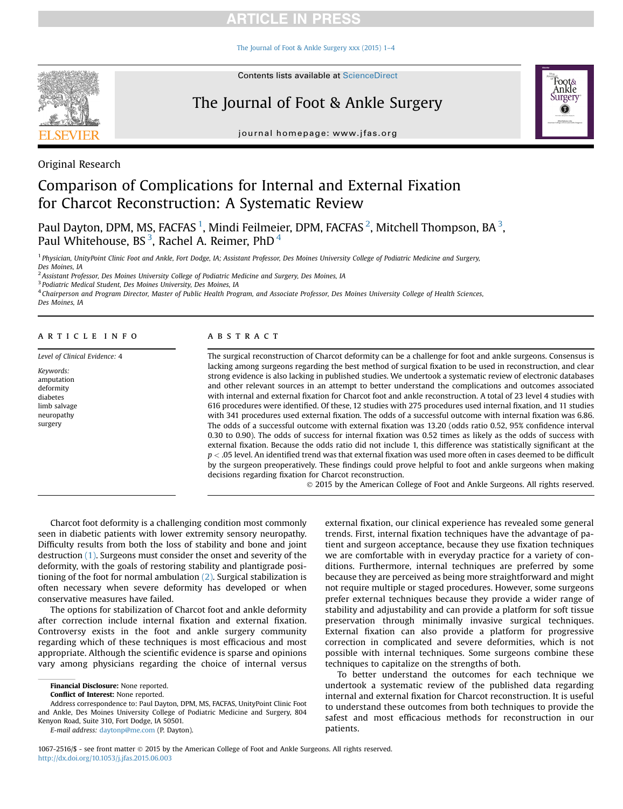## **ARTICLE IN PRESS**

[The Journal of Foot & Ankle Surgery xxx \(2015\) 1](http://dx.doi.org/10.1053/j.jfas.2015.06.003)–4



**Contents lists available at ScienceDirect** 

# The Journal of Foot & Ankle Surgery



journal homepage: [www.jfas.org](http://www.jfas.org)

Original Research

# Comparison of Complications for Internal and External Fixation for Charcot Reconstruction: A Systematic Review

Paul Dayton, DPM, MS, FACFAS  $^1$ , Mindi Feilmeier, DPM, FACFAS  $^2$ , Mitchell Thompson, BA  $^3$ , Paul Whitehouse, BS  $^3$ , Rachel A. Reimer, PhD  $^4$ 

<sup>1</sup> Physician, UnityPoint Clinic Foot and Ankle, Fort Dodge, IA; Assistant Professor, Des Moines University College of Podiatric Medicine and Surgery, Des Moines, IA

<sup>2</sup> Assistant Professor, Des Moines University College of Podiatric Medicine and Surgery, Des Moines, IA

<sup>3</sup> Podiatric Medical Student, Des Moines University, Des Moines, IA

<sup>4</sup> Chairperson and Program Director, Master of Public Health Program, and Associate Professor, Des Moines University College of Health Sciences,

Des Moines, IA

### article info

### **ABSTRACT**

Level of Clinical Evidence: 4 Keywords: amputation deformity diabetes limb salvage neuropathy surgery

The surgical reconstruction of Charcot deformity can be a challenge for foot and ankle surgeons. Consensus is lacking among surgeons regarding the best method of surgical fixation to be used in reconstruction, and clear strong evidence is also lacking in published studies. We undertook a systematic review of electronic databases and other relevant sources in an attempt to better understand the complications and outcomes associated with internal and external fixation for Charcot foot and ankle reconstruction. A total of 23 level 4 studies with 616 procedures were identified. Of these, 12 studies with 275 procedures used internal fixation, and 11 studies with 341 procedures used external fixation. The odds of a successful outcome with internal fixation was 6.86. The odds of a successful outcome with external fixation was 13.20 (odds ratio 0.52, 95% confidence interval 0.30 to 0.90). The odds of success for internal fixation was 0.52 times as likely as the odds of success with external fixation. Because the odds ratio did not include 1, this difference was statistically significant at the  $p <$  .05 level. An identified trend was that external fixation was used more often in cases deemed to be difficult by the surgeon preoperatively. These findings could prove helpful to foot and ankle surgeons when making decisions regarding fixation for Charcot reconstruction.

2015 by the American College of Foot and Ankle Surgeons. All rights reserved.

Charcot foot deformity is a challenging condition most commonly seen in diabetic patients with lower extremity sensory neuropathy. Difficulty results from both the loss of stability and bone and joint destruction [\(1\).](#page-3-0) Surgeons must consider the onset and severity of the deformity, with the goals of restoring stability and plantigrade positioning of the foot for normal ambulation [\(2\)](#page-3-0). Surgical stabilization is often necessary when severe deformity has developed or when conservative measures have failed.

The options for stabilization of Charcot foot and ankle deformity after correction include internal fixation and external fixation. Controversy exists in the foot and ankle surgery community regarding which of these techniques is most efficacious and most appropriate. Although the scientific evidence is sparse and opinions vary among physicians regarding the choice of internal versus

E-mail address: [daytonp@me.com](mailto:daytonp@me.com) (P. Dayton).

external fixation, our clinical experience has revealed some general trends. First, internal fixation techniques have the advantage of patient and surgeon acceptance, because they use fixation techniques we are comfortable with in everyday practice for a variety of conditions. Furthermore, internal techniques are preferred by some because they are perceived as being more straightforward and might not require multiple or staged procedures. However, some surgeons prefer external techniques because they provide a wider range of stability and adjustability and can provide a platform for soft tissue preservation through minimally invasive surgical techniques. External fixation can also provide a platform for progressive correction in complicated and severe deformities, which is not possible with internal techniques. Some surgeons combine these techniques to capitalize on the strengths of both.

To better understand the outcomes for each technique we undertook a systematic review of the published data regarding internal and external fixation for Charcot reconstruction. It is useful to understand these outcomes from both techniques to provide the safest and most efficacious methods for reconstruction in our patients.

1067-2516/\$ - see front matter 2015 by the American College of Foot and Ankle Surgeons. All rights reserved. <http://dx.doi.org/10.1053/j.jfas.2015.06.003>

Financial Disclosure: None reported.

Conflict of Interest: None reported.

Address correspondence to: Paul Dayton, DPM, MS, FACFAS, UnityPoint Clinic Foot and Ankle, Des Moines University College of Podiatric Medicine and Surgery, 804 Kenyon Road, Suite 310, Fort Dodge, IA 50501.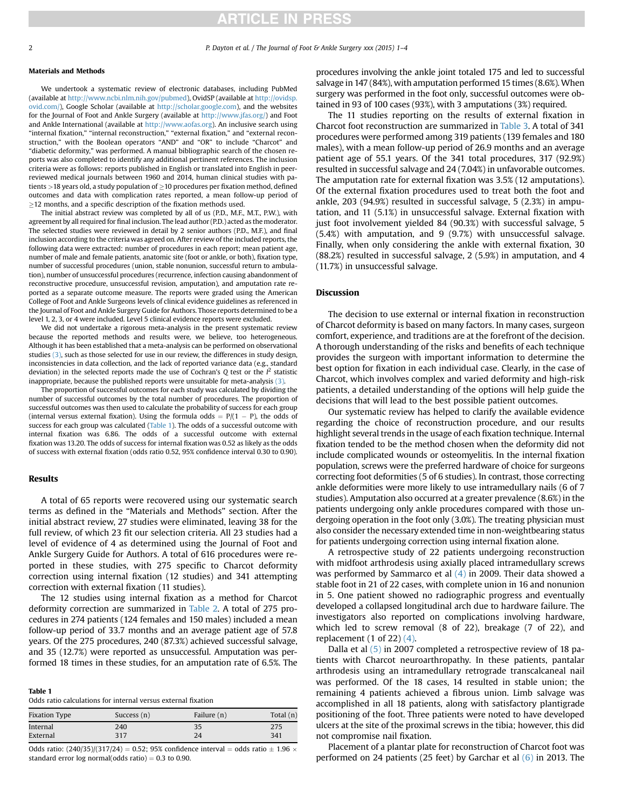### Materials and Methods

We undertook a systematic review of electronic databases, including PubMed (available at [http://www.ncbi.nlm.nih.gov/pubmed\)](http://www.ncbi.nlm.nih.gov/pubmed), OvidSP (available at [http://ovidsp.](http://ovidsp.ovid.com/) [ovid.com/\)](http://ovidsp.ovid.com/), Google Scholar (available at <http://scholar.google.com>), and the websites for the Journal of Foot and Ankle Surgery (available at <http://www.jfas.org/>) and Foot and Ankle International (available at <http://www.aofas.org>). An inclusive search using "internal fixation," "internal reconstruction," "external fixation," and "external reconstruction," with the Boolean operators "AND" and "OR" to include "Charcot" and "diabetic deformity," was performed. A manual bibliographic search of the chosen reports was also completed to identify any additional pertinent references. The inclusion criteria were as follows: reports published in English or translated into English in peerreviewed medical journals between 1960 and 2014, human clinical studies with patients >18 years old, a study population of  $\geq$ 10 procedures per fixation method, defined outcomes and data with complication rates reported, a mean follow-up period of  $\geq$ 12 months, and a specific description of the fixation methods used.

The initial abstract review was completed by all of us (P.D., M.F., M.T., P.W.), with agreement by all required for final inclusion. The lead author (P.D.) acted as the moderator. The selected studies were reviewed in detail by 2 senior authors (P.D., M.F.), and final inclusion according to the criteria was agreed on. After review of the included reports, the following data were extracted: number of procedures in each report; mean patient age, number of male and female patients, anatomic site (foot or ankle, or both), fixation type, number of successful procedures (union, stable nonunion, successful return to ambulation), number of unsuccessful procedures (recurrence, infection causing abandonment of reconstructive procedure, unsuccessful revision, amputation), and amputation rate reported as a separate outcome measure. The reports were graded using the American College of Foot and Ankle Surgeons levels of clinical evidence guidelines as referenced in the Journal of Foot and Ankle Surgery Guide for Authors. Those reports determined to be a level 1, 2, 3, or 4 were included. Level 5 clinical evidence reports were excluded.

We did not undertake a rigorous meta-analysis in the present systematic review because the reported methods and results were, we believe, too heterogeneous. Although it has been established that a meta-analysis can be performed on observational studies [\(3\)](#page-3-0), such as those selected for use in our review, the differences in study design, inconsistencies in data collection, and the lack of reported variance data (e.g., standard deviation) in the selected reports made the use of Cochran's Q test or the  $I^2$  statistic inappropriate, because the published reports were unsuitable for meta-analysis [\(3\)](#page-3-0).

The proportion of successful outcomes for each study was calculated by dividing the number of successful outcomes by the total number of procedures. The proportion of successful outcomes was then used to calculate the probability of success for each group (internal versus external fixation). Using the formula odds  $= P/(1 - P)$ , the odds of success for each group was calculated (Table 1). The odds of a successful outcome with internal fixation was 6.86. The odds of a successful outcome with external fixation was 13.20. The odds of success for internal fixation was 0.52 as likely as the odds of success with external fixation (odds ratio 0.52, 95% confidence interval 0.30 to 0.90).

#### Results

A total of 65 reports were recovered using our systematic search terms as defined in the "Materials and Methods" section. After the initial abstract review, 27 studies were eliminated, leaving 38 for the full review, of which 23 fit our selection criteria. All 23 studies had a level of evidence of 4 as determined using the Journal of Foot and Ankle Surgery Guide for Authors. A total of 616 procedures were reported in these studies, with 275 specific to Charcot deformity correction using internal fixation (12 studies) and 341 attempting correction with external fixation (11 studies).

The 12 studies using internal fixation as a method for Charcot deformity correction are summarized in [Table 2.](#page-2-0) A total of 275 procedures in 274 patients (124 females and 150 males) included a mean follow-up period of 33.7 months and an average patient age of 57.8 years. Of the 275 procedures, 240 (87.3%) achieved successful salvage, and 35 (12.7%) were reported as unsuccessful. Amputation was performed 18 times in these studies, for an amputation rate of 6.5%. The

| .<br>$\sim$ |  |
|-------------|--|
|-------------|--|

| <b>Fixation Type</b> | Success $(n)$ | Failure (n) | Total $(n)$ |
|----------------------|---------------|-------------|-------------|
| Internal             | 240           | 35          | 275         |
| External             | 317           | 24          | 341         |
|                      |               |             |             |

Odds ratio:  $(240/35)/(317/24) = 0.52$ ; 95% confidence interval = odds ratio  $\pm 1.96 \times$ standard error log normal(odds ratio)  $= 0.3$  to 0.90.

procedures involving the ankle joint totaled 175 and led to successful salvage in 147 (84%), with amputation performed 15 times (8.6%). When surgery was performed in the foot only, successful outcomes were obtained in 93 of 100 cases (93%), with 3 amputations (3%) required.

The 11 studies reporting on the results of external fixation in Charcot foot reconstruction are summarized in [Table 3](#page-2-0). A total of 341 procedures were performed among 319 patients (139 females and 180 males), with a mean follow-up period of 26.9 months and an average patient age of 55.1 years. Of the 341 total procedures, 317 (92.9%) resulted in successful salvage and 24 (7.04%) in unfavorable outcomes. The amputation rate for external fixation was 3.5% (12 amputations). Of the external fixation procedures used to treat both the foot and ankle, 203 (94.9%) resulted in successful salvage, 5 (2.3%) in amputation, and 11 (5.1%) in unsuccessful salvage. External fixation with just foot involvement yielded 84 (90.3%) with successful salvage, 5 (5.4%) with amputation, and 9 (9.7%) with unsuccessful salvage. Finally, when only considering the ankle with external fixation, 30 (88.2%) resulted in successful salvage, 2 (5.9%) in amputation, and 4 (11.7%) in unsuccessful salvage.

#### **Discussion**

The decision to use external or internal fixation in reconstruction of Charcot deformity is based on many factors. In many cases, surgeon comfort, experience, and traditions are at the forefront of the decision. A thorough understanding of the risks and benefits of each technique provides the surgeon with important information to determine the best option for fixation in each individual case. Clearly, in the case of Charcot, which involves complex and varied deformity and high-risk patients, a detailed understanding of the options will help guide the decisions that will lead to the best possible patient outcomes.

Our systematic review has helped to clarify the available evidence regarding the choice of reconstruction procedure, and our results highlight several trends in the usage of each fixation technique. Internal fixation tended to be the method chosen when the deformity did not include complicated wounds or osteomyelitis. In the internal fixation population, screws were the preferred hardware of choice for surgeons correcting foot deformities (5 of 6 studies). In contrast, those correcting ankle deformities were more likely to use intramedullary nails (6 of 7 studies). Amputation also occurred at a greater prevalence (8.6%) in the patients undergoing only ankle procedures compared with those undergoing operation in the foot only (3.0%). The treating physician must also consider the necessary extended time in non-weightbearing status for patients undergoing correction using internal fixation alone.

A retrospective study of 22 patients undergoing reconstruction with midfoot arthrodesis using axially placed intramedullary screws was performed by Sammarco et al  $(4)$  in 2009. Their data showed a stable foot in 21 of 22 cases, with complete union in 16 and nonunion in 5. One patient showed no radiographic progress and eventually developed a collapsed longitudinal arch due to hardware failure. The investigators also reported on complications involving hardware, which led to screw removal (8 of 22), breakage (7 of 22), and replacement  $(1 \text{ of } 22)$  $(4)$ .

Dalla et al [\(5\)](#page-3-0) in 2007 completed a retrospective review of 18 patients with Charcot neuroarthropathy. In these patients, pantalar arthrodesis using an intramedullary retrograde transcalcaneal nail was performed. Of the 18 cases, 14 resulted in stable union; the remaining 4 patients achieved a fibrous union. Limb salvage was accomplished in all 18 patients, along with satisfactory plantigrade positioning of the foot. Three patients were noted to have developed ulcers at the site of the proximal screws in the tibia; however, this did not compromise nail fixation.

Placement of a plantar plate for reconstruction of Charcot foot was performed on 24 patients (25 feet) by Garchar et al [\(6\)](#page-3-0) in 2013. The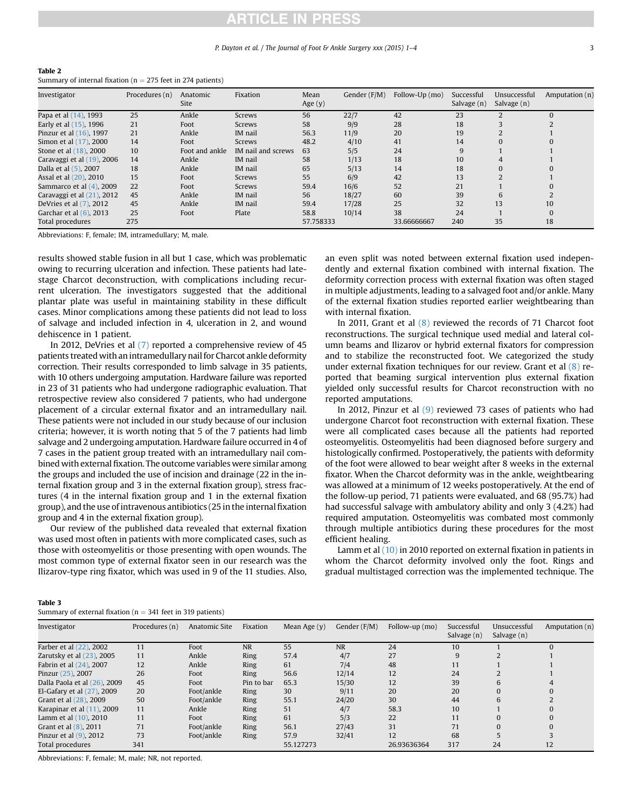## **ARTICLE IN PRESS**

#### P. Dayton et al. / The Journal of Foot & Ankle Surgery xxx (2015) 1–4 3

<span id="page-2-0"></span>

| Table 2                                                        |  |
|----------------------------------------------------------------|--|
| Summary of internal fixation ( $n = 275$ feet in 274 patients) |  |

| Investigator                | Procedures (n) | Anatomic<br><b>Site</b> | Fixation           | Mean<br>Age $(y)$ | Gender (F/M) | Follow-Up (mo) | Successful<br>Salvage (n) | Unsuccessful<br>Salvage (n) | Amputation $(n)$ |
|-----------------------------|----------------|-------------------------|--------------------|-------------------|--------------|----------------|---------------------------|-----------------------------|------------------|
| Papa et al (14), 1993       | 25             | Ankle                   | Screws             | 56                | 22/7         | 42             | 23                        |                             |                  |
| Early et al (15), 1996      | 21             | Foot                    | Screws             | 58                | 9/9          | 28             | 18                        |                             |                  |
| Pinzur et al (16), 1997     | 21             | Ankle                   | IM nail            | 56.3              | 11/9         | 20             | 19                        |                             |                  |
| Simon et al (17), 2000      | 14             | Foot                    | Screws             | 48.2              | 4/10         | 41             | 14                        |                             |                  |
| Stone et al (18), 2000      | 10             | Foot and ankle          | IM nail and screws | 63                | 5/5          | 24             | q                         |                             |                  |
| Caravaggi et al (19), 2006  | 14             | Ankle                   | IM nail            | 58                | 1/13         | 18             | 10                        |                             |                  |
| Dalla et al (5), 2007       | 18             | Ankle                   | IM nail            | 65                | 5/13         | 14             | 18                        | $\Omega$                    |                  |
| Assal et al (20), 2010      | 15             | Foot                    | Screws             | 55                | 6/9          | 42             | 13                        |                             |                  |
| Sammarco et al $(4)$ , 2009 | 22             | Foot                    | Screws             | 59.4              | 16/6         | 52             | 21                        |                             |                  |
| Caravaggi et al (21), 2012  | 45             | Ankle                   | IM nail            | 56                | 18/27        | 60             | 39                        | 6                           |                  |
| DeVries et al (7), 2012     | 45             | Ankle                   | IM nail            | 59.4              | 17/28        | 25             | 32                        | 13                          | 10               |
| Garchar et al (6), 2013     | 25             | Foot                    | Plate              | 58.8              | 10/14        | 38             | 24                        |                             |                  |
| Total procedures            | 275            |                         |                    | 57.758333         |              | 33.66666667    | 240                       | 35                          | 18               |

Abbreviations: F, female; IM, intramedullary; M, male.

results showed stable fusion in all but 1 case, which was problematic owing to recurring ulceration and infection. These patients had latestage Charcot deconstruction, with complications including recurrent ulceration. The investigators suggested that the additional plantar plate was useful in maintaining stability in these difficult cases. Minor complications among these patients did not lead to loss of salvage and included infection in 4, ulceration in 2, and wound dehiscence in 1 patient.

In 2012, DeVries et al [\(7\)](#page-3-0) reported a comprehensive review of 45 patients treated with an intramedullary nail for Charcot ankle deformity correction. Their results corresponded to limb salvage in 35 patients, with 10 others undergoing amputation. Hardware failure was reported in 23 of 31 patients who had undergone radiographic evaluation. That retrospective review also considered 7 patients, who had undergone placement of a circular external fixator and an intramedullary nail. These patients were not included in our study because of our inclusion criteria; however, it is worth noting that 5 of the 7 patients had limb salvage and 2 undergoing amputation. Hardware failure occurred in 4 of 7 cases in the patient group treated with an intramedullary nail combined with external fixation. The outcome variables were similar among the groups and included the use of incision and drainage (22 in the internal fixation group and 3 in the external fixation group), stress fractures (4 in the internal fixation group and 1 in the external fixation group), and the use of intravenous antibiotics (25 in the internal fixation group and 4 in the external fixation group).

Our review of the published data revealed that external fixation was used most often in patients with more complicated cases, such as those with osteomyelitis or those presenting with open wounds. The most common type of external fixator seen in our research was the Ilizarov-type ring fixator, which was used in 9 of the 11 studies. Also, an even split was noted between external fixation used independently and external fixation combined with internal fixation. The deformity correction process with external fixation was often staged in multiple adjustments, leading to a salvaged foot and/or ankle. Many of the external fixation studies reported earlier weightbearing than with internal fixation.

In 2011, Grant et al [\(8\)](#page-3-0) reviewed the records of 71 Charcot foot reconstructions. The surgical technique used medial and lateral column beams and Ilizarov or hybrid external fixators for compression and to stabilize the reconstructed foot. We categorized the study under external fixation techniques for our review. Grant et al [\(8\)](#page-3-0) reported that beaming surgical intervention plus external fixation yielded only successful results for Charcot reconstruction with no reported amputations.

In 2012, Pinzur et al [\(9\)](#page-3-0) reviewed 73 cases of patients who had undergone Charcot foot reconstruction with external fixation. These were all complicated cases because all the patients had reported osteomyelitis. Osteomyelitis had been diagnosed before surgery and histologically confirmed. Postoperatively, the patients with deformity of the foot were allowed to bear weight after 8 weeks in the external fixator. When the Charcot deformity was in the ankle, weightbearing was allowed at a minimum of 12 weeks postoperatively. At the end of the follow-up period, 71 patients were evaluated, and 68 (95.7%) had had successful salvage with ambulatory ability and only 3 (4.2%) had required amputation. Osteomyelitis was combated most commonly through multiple antibiotics during these procedures for the most efficient healing.

Lamm et al [\(10\)](#page-3-0) in 2010 reported on external fixation in patients in whom the Charcot deformity involved only the foot. Rings and gradual multistaged correction was the implemented technique. The

| Ш<br>77<br>٠ | ı<br>н |  |
|--------------|--------|--|

| Summary of external fixation ( $n = 341$ feet in 319 patients) |  |  |  |
|----------------------------------------------------------------|--|--|--|
|----------------------------------------------------------------|--|--|--|

| Investigator                 | Procedures (n) | Anatomic Site | Fixation    | Mean Age (y) | Gender (F/M) | Follow-up (mo) | Successful<br>Salvage (n) | Unsuccessful<br>Salvage (n) | Amputation (n) |
|------------------------------|----------------|---------------|-------------|--------------|--------------|----------------|---------------------------|-----------------------------|----------------|
| Farber et al (22), 2002      | 11             | Foot          | <b>NR</b>   | 55           | <b>NR</b>    | 24             | 10                        |                             |                |
| Zarutsky et al (23), 2005    | 11             | Ankle         | Ring        | 57.4         | 4/7          | 27             | 9                         |                             |                |
| Fabrin et al (24), 2007      | 12             | Ankle         | Ring        | 61           | 7/4          | 48             | 11                        |                             |                |
| Pinzur (25), 2007            | 26             | Foot          | <b>Ring</b> | 56.6         | 12/14        | 12             | 24                        |                             |                |
| Dalla Paola et al (26), 2009 | 45             | Foot          | Pin to bar  | 65.3         | 15/30        | 12             | 39                        | h                           |                |
| El-Gafary et al (27), 2009   | 20             | Foot/ankle    | <b>Ring</b> | 30           | 9/11         | 20             | 20                        | O                           |                |
| Grant et al (28), 2009       | 50             | Foot/ankle    | Ring        | 55.1         | 24/20        | 30             | 44                        |                             |                |
| Karapinar et al (11), 2009   | 11             | Ankle         | Ring        | 51           | 4/7          | 58.3           | 10                        |                             |                |
| Lamm et al (10), 2010        | 11             | Foot          | Ring        | 61           | 5/3          | 22             | 11                        |                             |                |
| Grant et al (8), 2011        | 71             | Foot/ankle    | Ring        | 56.1         | 27/43        | 31             | 71                        | O                           |                |
| Pinzur et al $(9)$ , 2012    | 73             | Foot/ankle    | <b>Ring</b> | 57.9         | 32/41        | 12             | 68                        |                             |                |
| Total procedures             | 341            |               |             | 55.127273    |              | 26.93636364    | 317                       | 24                          | 12             |

Abbreviations: F, female; M, male; NR, not reported.